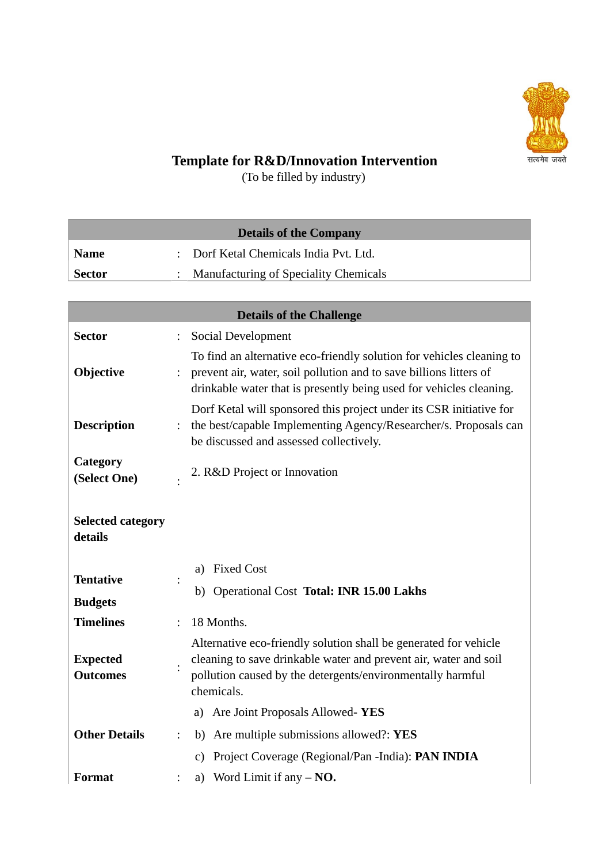

## **Template for R&D/Innovation Intervention**

(To be filled by industry)

| <b>Details of the Company</b> |                                              |  |  |  |  |
|-------------------------------|----------------------------------------------|--|--|--|--|
| <b>Name</b>                   | : Dorf Ketal Chemicals India Pvt. Ltd.       |  |  |  |  |
| <b>Sector</b>                 | <b>Manufacturing of Speciality Chemicals</b> |  |  |  |  |
|                               |                                              |  |  |  |  |

| <b>Details of the Challenge</b>     |                |                                                                                                                                                                                                                    |  |  |  |
|-------------------------------------|----------------|--------------------------------------------------------------------------------------------------------------------------------------------------------------------------------------------------------------------|--|--|--|
| <b>Sector</b>                       |                | <b>Social Development</b>                                                                                                                                                                                          |  |  |  |
| <b>Objective</b>                    | $\ddot{\cdot}$ | To find an alternative eco-friendly solution for vehicles cleaning to<br>prevent air, water, soil pollution and to save billions litters of<br>drinkable water that is presently being used for vehicles cleaning. |  |  |  |
| <b>Description</b>                  | $\ddot{\cdot}$ | Dorf Ketal will sponsored this project under its CSR initiative for<br>the best/capable Implementing Agency/Researcher/s. Proposals can<br>be discussed and assessed collectively.                                 |  |  |  |
| Category<br>(Select One)            |                | 2. R&D Project or Innovation                                                                                                                                                                                       |  |  |  |
| <b>Selected category</b><br>details |                |                                                                                                                                                                                                                    |  |  |  |
|                                     |                | <b>Fixed Cost</b><br>a)                                                                                                                                                                                            |  |  |  |
| <b>Tentative</b><br><b>Budgets</b>  |                | b) Operational Cost Total: INR 15.00 Lakhs                                                                                                                                                                         |  |  |  |
| <b>Timelines</b>                    |                | 18 Months.                                                                                                                                                                                                         |  |  |  |
| <b>Expected</b><br><b>Outcomes</b>  |                | Alternative eco-friendly solution shall be generated for vehicle<br>cleaning to save drinkable water and prevent air, water and soil<br>pollution caused by the detergents/environmentally harmful<br>chemicals.   |  |  |  |
|                                     |                | a) Are Joint Proposals Allowed-YES                                                                                                                                                                                 |  |  |  |
| <b>Other Details</b>                | $\ddot{\cdot}$ | b) Are multiple submissions allowed?: YES                                                                                                                                                                          |  |  |  |
|                                     |                | Project Coverage (Regional/Pan -India): PAN INDIA<br>C)                                                                                                                                                            |  |  |  |
| <b>Format</b>                       |                | a) Word Limit if any $-NO$ .                                                                                                                                                                                       |  |  |  |